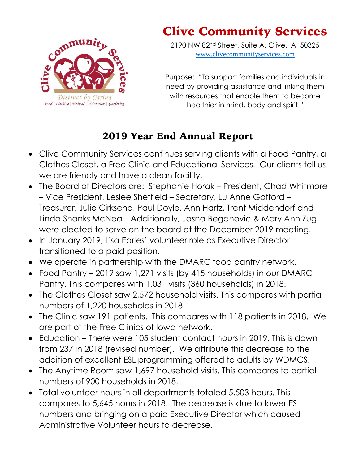

## Clive Community Services

2190 NW 82nd Street, Suite A, Clive, IA 50325 [www.clivecommunityservices.com](http://www.clivecommunityservices.com/)

Purpose: "To support families and individuals in need by providing assistance and linking them with resources that enable them to become healthier in mind, body and spirit."

## 2019 Year End Annual Report

- Clive Community Services continues serving clients with a Food Pantry, a Clothes Closet, a Free Clinic and Educational Services. Our clients tell us we are friendly and have a clean facility.
- The Board of Directors are: Stephanie Horak President, Chad Whitmore – Vice President, Leslee Sheffield – Secretary, Lu Anne Gafford – Treasurer, Julie Cirksena, Paul Doyle, Ann Hartz, Trent Middendorf and Linda Shanks McNeal. Additionally, Jasna Beganovic & Mary Ann Zug were elected to serve on the board at the December 2019 meeting.
- In January 2019, Lisa Earles' volunteer role as Executive Director transitioned to a paid position.
- We operate in partnership with the DMARC food pantry network.
- Food Pantry 2019 saw 1,271 visits (by 415 households) in our DMARC Pantry. This compares with 1,031 visits (360 households) in 2018.
- The Clothes Closet saw 2,572 household visits. This compares with partial numbers of 1,220 households in 2018.
- The Clinic saw 191 patients. This compares with 118 patients in 2018. We are part of the Free Clinics of Iowa network.
- Education There were 105 student contact hours in 2019. This is down from 237 in 2018 (revised number). We attribute this decrease to the addition of excellent ESL programming offered to adults by WDMCS.
- The Anytime Room saw 1,697 household visits. This compares to partial numbers of 900 households in 2018.
- Total volunteer hours in all departments totaled 5,503 hours. This compares to 5,645 hours in 2018. The decrease is due to lower ESL numbers and bringing on a paid Executive Director which caused Administrative Volunteer hours to decrease.